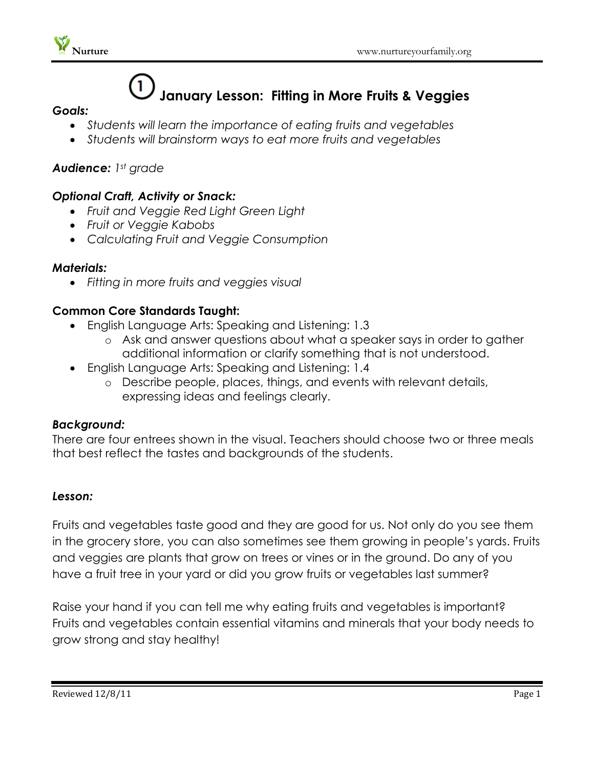

# **January Lesson: Fitting in More Fruits & Veggies**

#### *Goals:*

- *Students will learn the importance of eating fruits and vegetables*
- *Students will brainstorm ways to eat more fruits and vegetables*

# *Audience: 1st grade*

# *Optional Craft, Activity or Snack:*

- *Fruit and Veggie Red Light Green Light*
- *Fruit or Veggie Kabobs*
- *Calculating Fruit and Veggie Consumption*

#### *Materials:*

*Fitting in more fruits and veggies visual*

# **Common Core Standards Taught:**

- English Language Arts: Speaking and Listening: 1.3
	- o Ask and answer questions about what a speaker says in order to gather additional information or clarify something that is not understood.
- English Language Arts: Speaking and Listening: 1.4
	- o Describe people, places, things, and events with relevant details, expressing ideas and feelings clearly.

#### *Background:*

There are four entrees shown in the visual. Teachers should choose two or three meals that best reflect the tastes and backgrounds of the students.

#### *Lesson:*

Fruits and vegetables taste good and they are good for us. Not only do you see them in the grocery store, you can also sometimes see them growing in people's yards. Fruits and veggies are plants that grow on trees or vines or in the ground. Do any of you have a fruit tree in your yard or did you grow fruits or vegetables last summer?

Raise your hand if you can tell me why eating fruits and vegetables is important? Fruits and vegetables contain essential vitamins and minerals that your body needs to grow strong and stay healthy!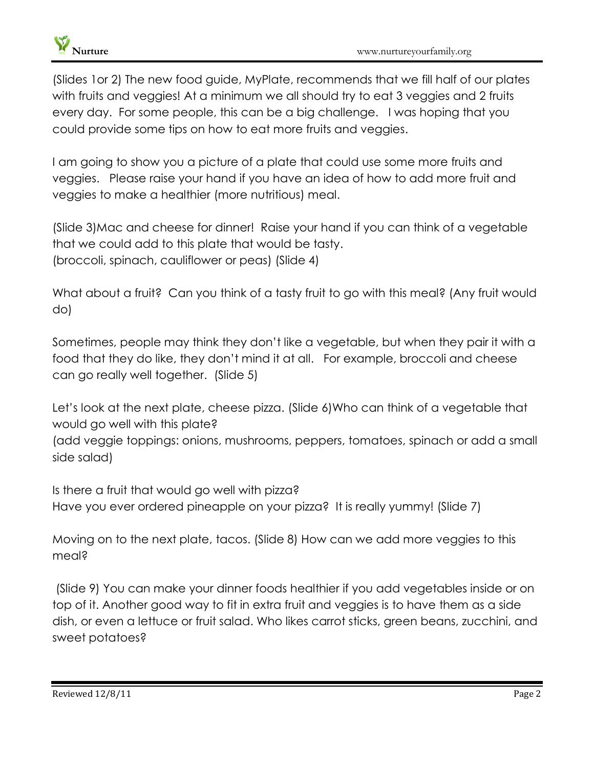

(Slides 1or 2) The new food guide, MyPlate, recommends that we fill half of our plates with fruits and veggies! At a minimum we all should try to eat 3 veggies and 2 fruits every day. For some people, this can be a big challenge. I was hoping that you could provide some tips on how to eat more fruits and veggies.

I am going to show you a picture of a plate that could use some more fruits and veggies. Please raise your hand if you have an idea of how to add more fruit and veggies to make a healthier (more nutritious) meal.

(Slide 3)Mac and cheese for dinner! Raise your hand if you can think of a vegetable that we could add to this plate that would be tasty. (broccoli, spinach, cauliflower or peas) (Slide 4)

What about a fruit? Can you think of a tasty fruit to go with this meal? (Any fruit would do)

Sometimes, people may think they don't like a vegetable, but when they pair it with a food that they do like, they don't mind it at all. For example, broccoli and cheese can go really well together. (Slide 5)

Let's look at the next plate, cheese pizza. (Slide 6)Who can think of a vegetable that would go well with this plate?

(add veggie toppings: onions, mushrooms, peppers, tomatoes, spinach or add a small side salad)

Is there a fruit that would go well with pizza? Have you ever ordered pineapple on your pizza? It is really yummy! (Slide 7)

Moving on to the next plate, tacos. (Slide 8) How can we add more veggies to this meal?

(Slide 9) You can make your dinner foods healthier if you add vegetables inside or on top of it. Another good way to fit in extra fruit and veggies is to have them as a side dish, or even a lettuce or fruit salad. Who likes carrot sticks, green beans, zucchini, and sweet potatoes?